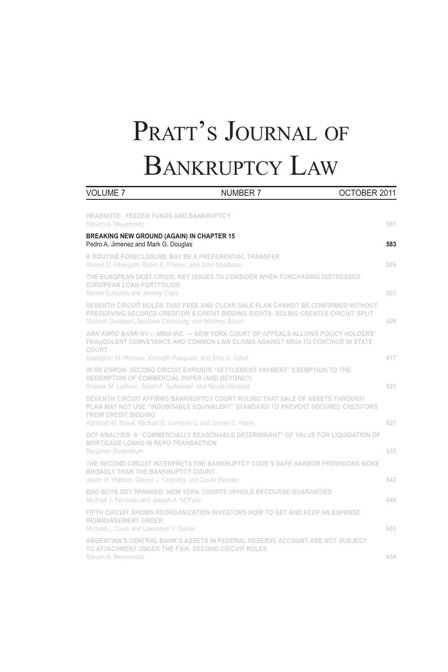# PRATT'S JOURNAL OF BANKRUPTCY LAW

| <b>VOLUME 7</b>                                                                                                   | <b>NUMBER 7</b>                                                                                                                                                      | OCTOBER 2011 |
|-------------------------------------------------------------------------------------------------------------------|----------------------------------------------------------------------------------------------------------------------------------------------------------------------|--------------|
| <b>HEADNOTE: FEEDER FUNDS AND BANKRUPTCY</b><br>Steven A. Meyerowitz                                              |                                                                                                                                                                      | 581          |
| <b>BREAKING NEW GROUND (AGAIN) IN CHAPTER 15</b><br>Pedro A. Jimenez and Mark G. Douglas                          |                                                                                                                                                                      | 583          |
| A ROUTINE FORECLOSURE MAY BE A PREFERENTIAL TRANSFER<br>Robert D. Albergotti, Robin E. Phelan, and John Middleton |                                                                                                                                                                      | 595          |
| <b>EUROPEAN LOAN PORTFOLIOS</b><br>Renee Eubanks and Jeremy Cape                                                  | THE EUROPEAN DEBT CRISIS: KEY ISSUES TO CONSIDER WHEN PURCHASING DISTRESSED                                                                                          | 601          |
| Michael Goldstein, Matthew Gensburg, and Whitney Baron                                                            | SEVENTH CIRCUIT HOLDS THAT FREE AND CLEAR SALE PLAN CANNOT BE CONFIRMED WITHOUT<br>PRESERVING SECURED CREDITOR'S CREDIT BIDDING RIGHTS: RULING CREATES CIRCUIT SPLIT | 609          |
| <b>COURT</b>                                                                                                      | ABN AMRO BANK NV v. MBIA INC. - NEW YORK COURT OF APPEALS ALLOWS POLICY HOLDERS'<br>FRAUDULENT CONVEYANCE AND COMMON LAW CLAIMS AGAINST MBIA TO CONTINUE IN STATE    |              |
| Kristopher M. Hansen, Kenneth Pasquale, and Erez E. Gilad                                                         |                                                                                                                                                                      | 617          |
| REDEMPTION OF COMMERCIAL PAPER (AND BEYOND?)<br>Andrew M. Leblanc, Sarah A. Sulkowski, and Nicole Vasquez         | IN RE ENRON: SECOND CIRCUIT EXPANDS "SETTLEMENT PAYMENT" EXEMPTION TO THE                                                                                            | 621          |
| <b>FROM CREDIT BIDDING</b><br>Abhilash M. Raval, Michael E. Comerford, and James C. Harris                        | SEVENTH CIRCUIT AFFIRMS BANKRUPTCY COURT RULING THAT SALE OF ASSETS THROUGH<br>PLAN MAY NOT USE "INDUBITABLE EQUIVALENT" STANDARD TO PREVENT SECURED CREDITORS       | 627          |
| <b>MORTGAGE LOANS IN REPO TRANSACTION</b><br>Benjamin Rosenblum                                                   | DCF ANALYSIS: A "COMMERCIALLY REASONABLE DETERMINANT" OF VALUE FOR LIQUIDATION OF                                                                                    | 635          |
| <b>BROADLY THAN THE BANKRUPTCY COURT</b><br>Jason H. Watson, Dennis J. Connolly, and David Wender                 | THE SECOND CIRCUIT INTERPRETS THE BANKRUPTCY CODE'S SAFE HARBOR PROVISIONS MORE                                                                                      | 642          |
| Michael J. Feinman and Joseph A. McFalls                                                                          | <b>BAD BOYS GET SPANKED: NEW YORK COURTS UPHOLD RECOURSE GUARANTIES</b>                                                                                              | 648          |
| <b>REIMBURSEMENT ORDER</b><br>Michael L. Cook and Lawrence V. Gelber                                              | FIFTH CIRCUIT SHOWS REORGANIZATION INVESTORS HOW TO GET AND KEEP AN EXPENSE                                                                                          | 653          |
| TO ATTACHMENT UNDER THE FSIA. SECOND CIRCUIT RULES<br>Steven A. Meyerowitz                                        | ARGENTINA'S CENTRAL BANK'S ASSETS IN FEDERAL RESERVE ACCOUNT ARE NOT SUBJECT                                                                                         | 658          |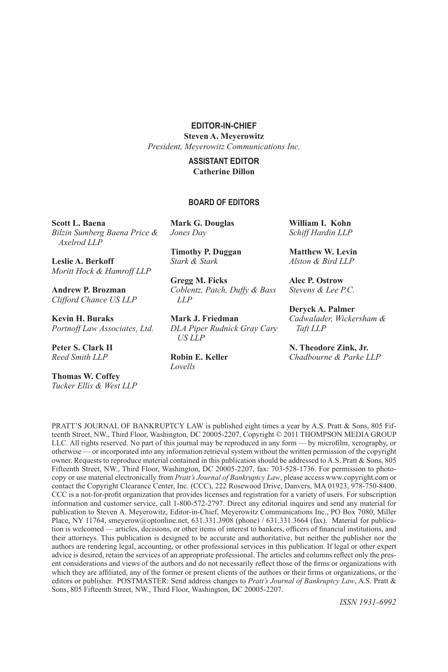**EDITOR-IN-CHIEF**

**Steven A. Meyerowitz** *President, Meyerowitz Communications Inc.*

#### **ASSISTANT EDITOR Catherine Dillon**

#### **BOARD OF EDITORS**

**Scott L. Baena** *Bilzin Sumberg Baena Price & Axelrod LLP*

**Leslie A. Berkoff** *Moritt Hock & Hamroff LLP*

**Andrew P. Brozman** *Clifford Chance US LLP*

**Kevin H. Buraks** *Portnoff Law Associates, Ltd.*

**Peter S. Clark II**  *Reed Smith LLP*

**Thomas W. Coffey** *Tucker Ellis & West LLP* **Mark G. Douglas** *Jones Day*

**Timothy P. Duggan** *Stark & Stark*

**Gregg M. Ficks** *Coblentz, Patch, Duffy & Bass LLP*

**Mark J. Friedman** *DLA Piper Rudnick Gray Cary US LLP*

**Robin E. Keller** *Lovells*

**William I. Kohn**  *Schiff Hardin LLP* 

**Matthew W. Levin** *Alston & Bird LLP*

**Alec P. Ostrow** *Stevens & Lee P.C.*

**Deryck A. Palmer** *Cadwalader, Wickersham & Taft LLP* 

**N. Theodore Zink, Jr.** *Chadbourne & Parke LLP*

PRATT'S JOURNAL OF BANKRUPTCY LAW is published eight times a year by A.S. Pratt & Sons, 805 Fifteenth Street, NW., Third Floor, Washington, DC 20005-2207, Copyright © 2011 THOMPSON MEDIA GROUP LLC. All rights reserved. No part of this journal may be reproduced in any form — by microfilm, xerography, or otherwise — or incorporated into any information retrieval system without the written permission of the copyright owner. Requests to reproduce material contained in this publication should be addressed to A.S. Pratt & Sons, 805 Fifteenth Street, NW., Third Floor, Washington, DC 20005-2207, fax: 703-528-1736. For permission to photocopy or use material electronically from *Pratt's Journal of Bankruptcy Law*, please access www.copyright.com or contact the Copyright Clearance Center, Inc. (CCC), 222 Rosewood Drive, Danvers, MA 01923, 978-750-8400. CCC is a not-for-profit organization that provides licenses and registration for a variety of users. For subscription information and customer service, call 1-800-572-2797. Direct any editorial inquires and send any material for publication to Steven A. Meyerowitz, Editor-in-Chief, Meyerowitz Communications Inc., PO Box 7080, Miller Place, NY 11764, smeyerow@optonline.net, 631.331.3908 (phone) / 631.331.3664 (fax). Material for publication is welcomed — articles, decisions, or other items of interest to bankers, officers of financial institutions, and their attorneys. This publication is designed to be accurate and authoritative, but neither the publisher nor the authors are rendering legal, accounting, or other professional services in this publication. If legal or other expert advice is desired, retain the services of an appropriate professional. The articles and columns reflect only the present considerations and views of the authors and do not necessarily reflect those of the firms or organizations with which they are affiliated, any of the former or present clients of the authors or their firms or organizations, or the editors or publisher. POSTMASTER: Send address changes to *Pratt's Journal of Bankruptcy Law*, A.S. Pratt & Sons, 805 Fifteenth Street, NW., Third Floor, Washington, DC 20005-2207.

*ISSN 1931-6992*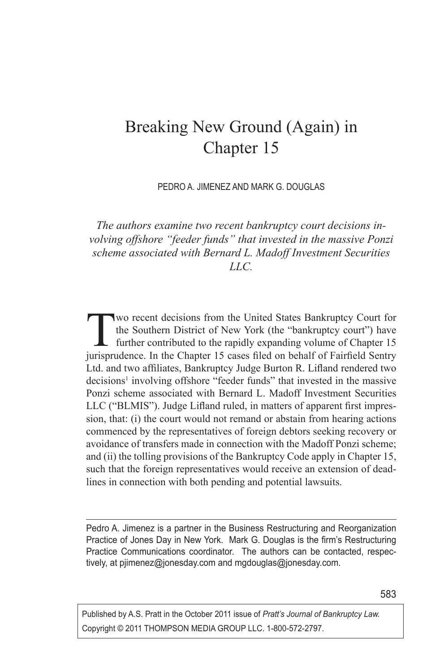# Breaking New Ground (Again) in Chapter 15

PEDRO A. JIMENEZ AND MARK G. DOUGLAS

*The authors examine two recent bankruptcy court decisions involving offshore "feeder funds" that invested in the massive Ponzi scheme associated with Bernard L. Madoff Investment Securities LLC.*

Two recent decisions from the United States Bankruptcy Court for<br>the Southern District of New York (the "bankruptcy court") have<br>further contributed to the rapidly expanding volume of Chapter 15<br>integrations. In the Chapte the Southern District of New York (the "bankruptcy court") have jurisprudence. In the Chapter 15 cases filed on behalf of Fairfield Sentry Ltd. and two affiliates, Bankruptcy Judge Burton R. Lifland rendered two decisions<sup>1</sup> involving offshore "feeder funds" that invested in the massive Ponzi scheme associated with Bernard L. Madoff Investment Securities LLC ("BLMIS"). Judge Lifland ruled, in matters of apparent first impression, that: (i) the court would not remand or abstain from hearing actions commenced by the representatives of foreign debtors seeking recovery or avoidance of transfers made in connection with the Madoff Ponzi scheme; and (ii) the tolling provisions of the Bankruptcy Code apply in Chapter 15, such that the foreign representatives would receive an extension of deadlines in connection with both pending and potential lawsuits.

Pedro A. Jimenez is a partner in the Business Restructuring and Reorganization Practice of Jones Day in New York. Mark G. Douglas is the firm's Restructuring Practice Communications coordinator. The authors can be contacted, respectively, at pjimenez@jonesday.com and mgdouglas@jonesday.com.

Published by A.S. Pratt in the October 2011 issue of *Pratt's Journal of Bankruptcy Law.* Copyright © 2011 THOMPSON MEDIA GROUP LLC. 1-800-572-2797.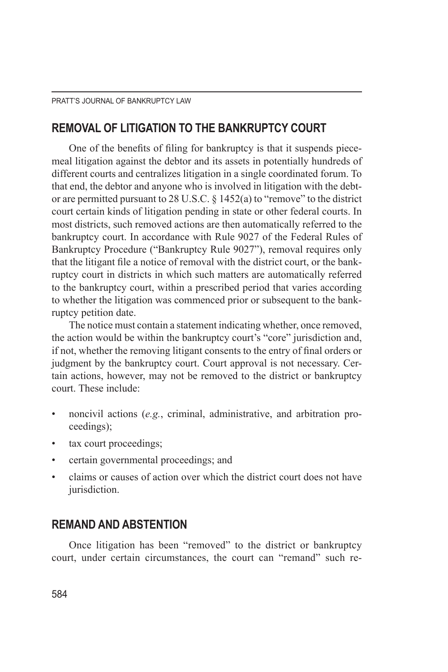#### **REMOVAL OF LITIGATION TO THE BANKRUPTCY COURT**

One of the benefits of filing for bankruptcy is that it suspends piecemeal litigation against the debtor and its assets in potentially hundreds of different courts and centralizes litigation in a single coordinated forum. To that end, the debtor and anyone who is involved in litigation with the debtor are permitted pursuant to 28 U.S.C. § 1452(a) to "remove" to the district court certain kinds of litigation pending in state or other federal courts. In most districts, such removed actions are then automatically referred to the bankruptcy court. In accordance with Rule 9027 of the Federal Rules of Bankruptcy Procedure ("Bankruptcy Rule 9027"), removal requires only that the litigant file a notice of removal with the district court, or the bankruptcy court in districts in which such matters are automatically referred to the bankruptcy court, within a prescribed period that varies according to whether the litigation was commenced prior or subsequent to the bankruptcy petition date.

The notice must contain a statement indicating whether, once removed, the action would be within the bankruptcy court's "core" jurisdiction and, if not, whether the removing litigant consents to the entry of final orders or judgment by the bankruptcy court. Court approval is not necessary. Certain actions, however, may not be removed to the district or bankruptcy court. These include:

- noncivil actions (*e.g.*, criminal, administrative, and arbitration proceedings);
- tax court proceedings;
- certain governmental proceedings; and
- claims or causes of action over which the district court does not have jurisdiction.

# **REMAND AND ABSTENTION**

Once litigation has been "removed" to the district or bankruptcy court, under certain circumstances, the court can "remand" such re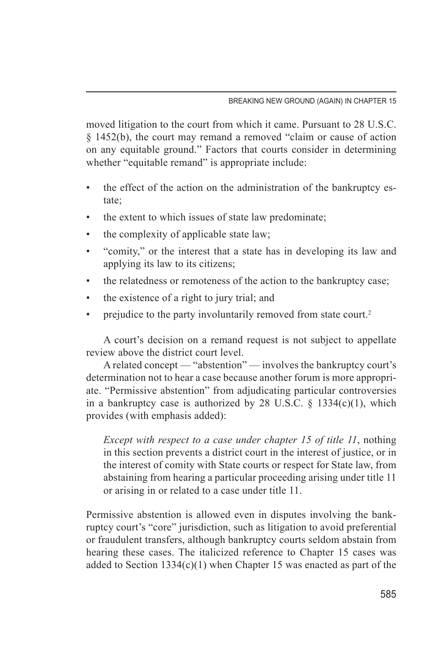moved litigation to the court from which it came. Pursuant to 28 U.S.C. § 1452(b), the court may remand a removed "claim or cause of action on any equitable ground." Factors that courts consider in determining whether "equitable remand" is appropriate include:

- the effect of the action on the administration of the bankruptcy estate;
- the extent to which issues of state law predominate;
- the complexity of applicable state law;
- "comity," or the interest that a state has in developing its law and applying its law to its citizens;
- the relatedness or remoteness of the action to the bankruptcy case;
- the existence of a right to jury trial; and
- prejudice to the party involuntarily removed from state court.<sup>2</sup>

A court's decision on a remand request is not subject to appellate review above the district court level.

A related concept — "abstention" — involves the bankruptcy court's determination not to hear a case because another forum is more appropriate. "Permissive abstention" from adjudicating particular controversies in a bankruptcy case is authorized by 28 U.S.C.  $\S$  1334(c)(1), which provides (with emphasis added):

*Except with respect to a case under chapter 15 of title 11*, nothing in this section prevents a district court in the interest of justice, or in the interest of comity with State courts or respect for State law, from abstaining from hearing a particular proceeding arising under title 11 or arising in or related to a case under title 11.

Permissive abstention is allowed even in disputes involving the bankruptcy court's "core" jurisdiction, such as litigation to avoid preferential or fraudulent transfers, although bankruptcy courts seldom abstain from hearing these cases. The italicized reference to Chapter 15 cases was added to Section  $1334(c)(1)$  when Chapter 15 was enacted as part of the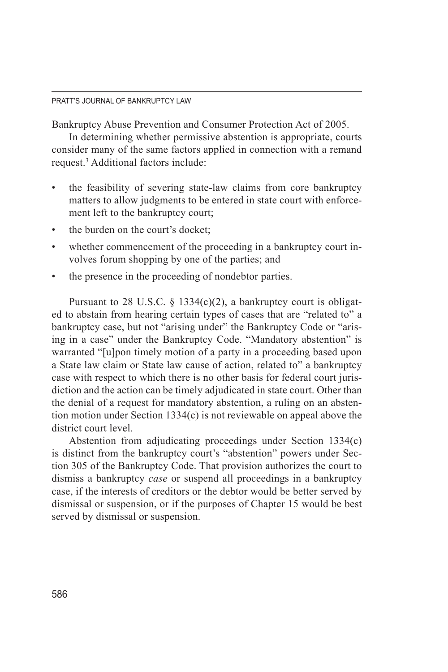Bankruptcy Abuse Prevention and Consumer Protection Act of 2005.

In determining whether permissive abstention is appropriate, courts consider many of the same factors applied in connection with a remand request.<sup>3</sup> Additional factors include:

- the feasibility of severing state-law claims from core bankruptcy matters to allow judgments to be entered in state court with enforcement left to the bankruptcy court;
- the burden on the court's docket;
- whether commencement of the proceeding in a bankruptcy court involves forum shopping by one of the parties; and
- the presence in the proceeding of nondebtor parties.

Pursuant to 28 U.S.C.  $\S$  1334(c)(2), a bankruptcy court is obligated to abstain from hearing certain types of cases that are "related to" a bankruptcy case, but not "arising under" the Bankruptcy Code or "arising in a case" under the Bankruptcy Code. "Mandatory abstention" is warranted "[u]pon timely motion of a party in a proceeding based upon a State law claim or State law cause of action, related to" a bankruptcy case with respect to which there is no other basis for federal court jurisdiction and the action can be timely adjudicated in state court. Other than the denial of a request for mandatory abstention, a ruling on an abstention motion under Section 1334(c) is not reviewable on appeal above the district court level.

Abstention from adjudicating proceedings under Section 1334(c) is distinct from the bankruptcy court's "abstention" powers under Section 305 of the Bankruptcy Code. That provision authorizes the court to dismiss a bankruptcy *case* or suspend all proceedings in a bankruptcy case, if the interests of creditors or the debtor would be better served by dismissal or suspension, or if the purposes of Chapter 15 would be best served by dismissal or suspension.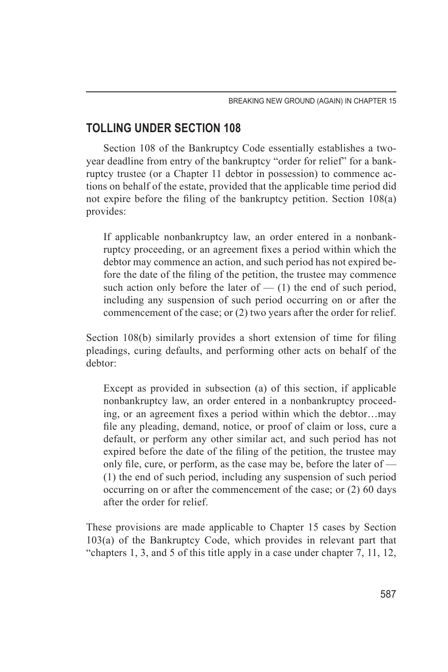# **TOLLING UNDER SECTION 108**

Section 108 of the Bankruptcy Code essentially establishes a twoyear deadline from entry of the bankruptcy "order for relief" for a bankruptcy trustee (or a Chapter 11 debtor in possession) to commence actions on behalf of the estate, provided that the applicable time period did not expire before the filing of the bankruptcy petition. Section 108(a) provides:

If applicable nonbankruptcy law, an order entered in a nonbankruptcy proceeding, or an agreement fixes a period within which the debtor may commence an action, and such period has not expired before the date of the filing of the petition, the trustee may commence such action only before the later of  $-$  (1) the end of such period, including any suspension of such period occurring on or after the commencement of the case; or (2) two years after the order for relief.

Section 108(b) similarly provides a short extension of time for filing pleadings, curing defaults, and performing other acts on behalf of the debtor:

Except as provided in subsection (a) of this section, if applicable nonbankruptcy law, an order entered in a nonbankruptcy proceeding, or an agreement fixes a period within which the debtor…may file any pleading, demand, notice, or proof of claim or loss, cure a default, or perform any other similar act, and such period has not expired before the date of the filing of the petition, the trustee may only file, cure, or perform, as the case may be, before the later of — (1) the end of such period, including any suspension of such period occurring on or after the commencement of the case; or (2) 60 days after the order for relief.

These provisions are made applicable to Chapter 15 cases by Section 103(a) of the Bankruptcy Code, which provides in relevant part that "chapters 1, 3, and 5 of this title apply in a case under chapter 7, 11, 12,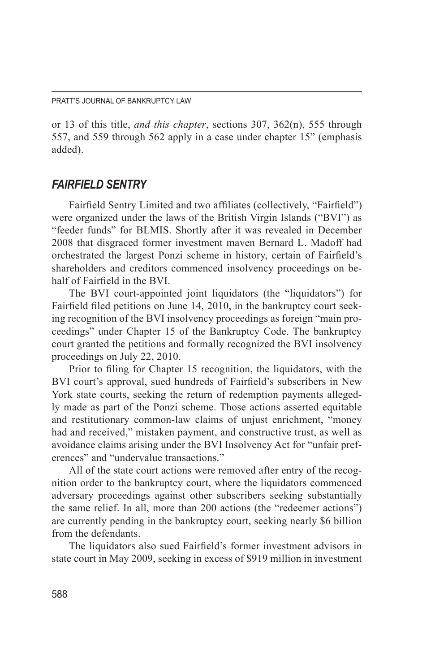or 13 of this title, *and this chapter*, sections 307, 362(n), 555 through 557, and 559 through 562 apply in a case under chapter 15" (emphasis added).

#### *FAIRFIELD SENTRY*

Fairfield Sentry Limited and two affiliates (collectively, "Fairfield") were organized under the laws of the British Virgin Islands ("BVI") as "feeder funds" for BLMIS. Shortly after it was revealed in December 2008 that disgraced former investment maven Bernard L. Madoff had orchestrated the largest Ponzi scheme in history, certain of Fairfield's shareholders and creditors commenced insolvency proceedings on behalf of Fairfield in the BVI.

The BVI court-appointed joint liquidators (the "liquidators") for Fairfield filed petitions on June 14, 2010, in the bankruptcy court seeking recognition of the BVI insolvency proceedings as foreign "main proceedings" under Chapter 15 of the Bankruptcy Code. The bankruptcy court granted the petitions and formally recognized the BVI insolvency proceedings on July 22, 2010.

Prior to filing for Chapter 15 recognition, the liquidators, with the BVI court's approval, sued hundreds of Fairfield's subscribers in New York state courts, seeking the return of redemption payments allegedly made as part of the Ponzi scheme. Those actions asserted equitable and restitutionary common-law claims of unjust enrichment, "money had and received," mistaken payment, and constructive trust, as well as avoidance claims arising under the BVI Insolvency Act for "unfair preferences" and "undervalue transactions."

All of the state court actions were removed after entry of the recognition order to the bankruptcy court, where the liquidators commenced adversary proceedings against other subscribers seeking substantially the same relief. In all, more than 200 actions (the "redeemer actions") are currently pending in the bankruptcy court, seeking nearly \$6 billion from the defendants.

The liquidators also sued Fairfield's former investment advisors in state court in May 2009, seeking in excess of \$919 million in investment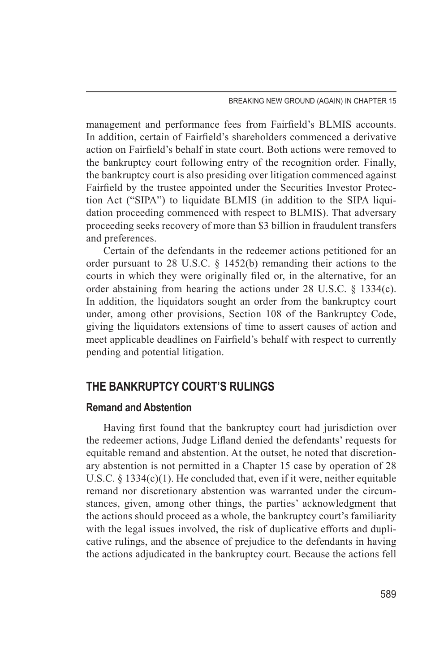management and performance fees from Fairfield's BLMIS accounts. In addition, certain of Fairfield's shareholders commenced a derivative action on Fairfield's behalf in state court. Both actions were removed to the bankruptcy court following entry of the recognition order. Finally, the bankruptcy court is also presiding over litigation commenced against Fairfield by the trustee appointed under the Securities Investor Protection Act ("SIPA") to liquidate BLMIS (in addition to the SIPA liquidation proceeding commenced with respect to BLMIS). That adversary proceeding seeks recovery of more than \$3 billion in fraudulent transfers and preferences.

Certain of the defendants in the redeemer actions petitioned for an order pursuant to 28 U.S.C. § 1452(b) remanding their actions to the courts in which they were originally filed or, in the alternative, for an order abstaining from hearing the actions under 28 U.S.C. § 1334(c). In addition, the liquidators sought an order from the bankruptcy court under, among other provisions, Section 108 of the Bankruptcy Code, giving the liquidators extensions of time to assert causes of action and meet applicable deadlines on Fairfield's behalf with respect to currently pending and potential litigation.

#### **THE BANKRUPTCY COURT'S RULINGS**

#### **Remand and Abstention**

Having first found that the bankruptcy court had jurisdiction over the redeemer actions, Judge Lifland denied the defendants' requests for equitable remand and abstention. At the outset, he noted that discretionary abstention is not permitted in a Chapter 15 case by operation of 28 U.S.C. § 1334(c)(1). He concluded that, even if it were, neither equitable remand nor discretionary abstention was warranted under the circumstances, given, among other things, the parties' acknowledgment that the actions should proceed as a whole, the bankruptcy court's familiarity with the legal issues involved, the risk of duplicative efforts and duplicative rulings, and the absence of prejudice to the defendants in having the actions adjudicated in the bankruptcy court. Because the actions fell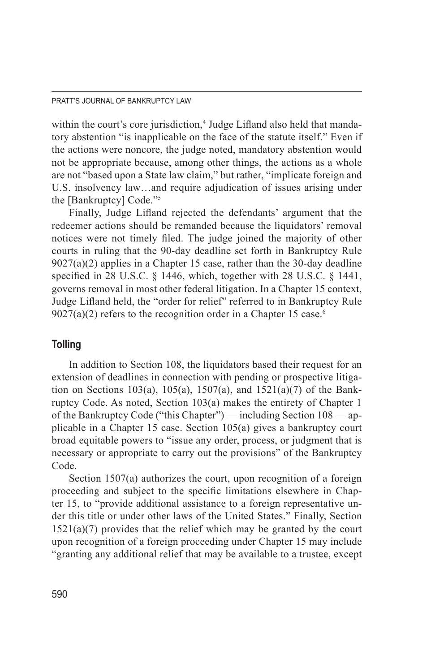#### PRATT'S JOURNAL OF BANKRUPTCY LAW

within the court's core jurisdiction,<sup>4</sup> Judge Lifland also held that mandatory abstention "is inapplicable on the face of the statute itself." Even if the actions were noncore, the judge noted, mandatory abstention would not be appropriate because, among other things, the actions as a whole are not "based upon a State law claim," but rather, "implicate foreign and U.S. insolvency law…and require adjudication of issues arising under the [Bankruptcy] Code."5

Finally, Judge Lifland rejected the defendants' argument that the redeemer actions should be remanded because the liquidators' removal notices were not timely filed. The judge joined the majority of other courts in ruling that the 90-day deadline set forth in Bankruptcy Rule 9027(a)(2) applies in a Chapter 15 case, rather than the 30-day deadline specified in 28 U.S.C. § 1446, which, together with 28 U.S.C. § 1441, governs removal in most other federal litigation. In a Chapter 15 context, Judge Lifland held, the "order for relief" referred to in Bankruptcy Rule  $9027(a)(2)$  refers to the recognition order in a Chapter 15 case.<sup>6</sup>

#### **Tolling**

In addition to Section 108, the liquidators based their request for an extension of deadlines in connection with pending or prospective litigation on Sections 103(a), 105(a), 1507(a), and 1521(a)(7) of the Bankruptcy Code. As noted, Section 103(a) makes the entirety of Chapter 1 of the Bankruptcy Code ("this Chapter") — including Section 108 — applicable in a Chapter 15 case. Section 105(a) gives a bankruptcy court broad equitable powers to "issue any order, process, or judgment that is necessary or appropriate to carry out the provisions" of the Bankruptcy Code.

Section 1507(a) authorizes the court, upon recognition of a foreign proceeding and subject to the specific limitations elsewhere in Chapter 15, to "provide additional assistance to a foreign representative under this title or under other laws of the United States." Finally, Section  $1521(a)(7)$  provides that the relief which may be granted by the court upon recognition of a foreign proceeding under Chapter 15 may include "granting any additional relief that may be available to a trustee, except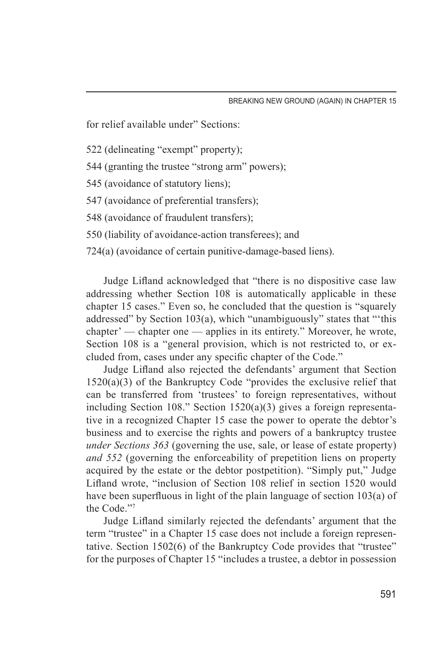for relief available under" Sections:

522 (delineating "exempt" property);

544 (granting the trustee "strong arm" powers);

545 (avoidance of statutory liens);

547 (avoidance of preferential transfers);

548 (avoidance of fraudulent transfers);

550 (liability of avoidance-action transferees); and

724(a) (avoidance of certain punitive-damage-based liens).

Judge Lifland acknowledged that "there is no dispositive case law addressing whether Section 108 is automatically applicable in these chapter 15 cases." Even so, he concluded that the question is "squarely addressed" by Section 103(a), which "unambiguously" states that "'this chapter' — chapter one — applies in its entirety." Moreover, he wrote, Section 108 is a "general provision, which is not restricted to, or excluded from, cases under any specific chapter of the Code."

Judge Lifland also rejected the defendants' argument that Section  $1520(a)(3)$  of the Bankruptcy Code "provides the exclusive relief that can be transferred from 'trustees' to foreign representatives, without including Section 108." Section 1520(a)(3) gives a foreign representative in a recognized Chapter 15 case the power to operate the debtor's business and to exercise the rights and powers of a bankruptcy trustee *under Sections 363* (governing the use, sale, or lease of estate property) *and 552* (governing the enforceability of prepetition liens on property acquired by the estate or the debtor postpetition). "Simply put," Judge Lifland wrote, "inclusion of Section 108 relief in section 1520 would have been superfluous in light of the plain language of section 103(a) of the Code<sup>"7</sup>

Judge Lifland similarly rejected the defendants' argument that the term "trustee" in a Chapter 15 case does not include a foreign representative. Section 1502(6) of the Bankruptcy Code provides that "trustee" for the purposes of Chapter 15 "includes a trustee, a debtor in possession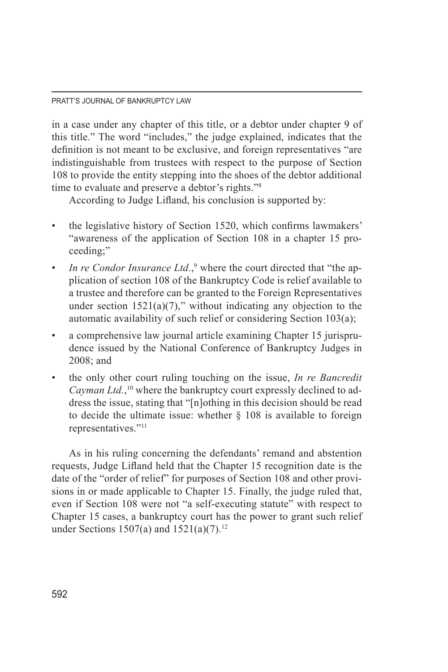#### PRATT'S JOURNAL OF BANKRUPTCY LAW

in a case under any chapter of this title, or a debtor under chapter 9 of this title." The word "includes," the judge explained, indicates that the definition is not meant to be exclusive, and foreign representatives "are indistinguishable from trustees with respect to the purpose of Section 108 to provide the entity stepping into the shoes of the debtor additional time to evaluate and preserve a debtor's rights."8

According to Judge Lifland, his conclusion is supported by:

- the legislative history of Section 1520, which confirms lawmakers' "awareness of the application of Section 108 in a chapter 15 proceeding;"
- *In re Condor Insurance Ltd.*,<sup>9</sup> where the court directed that "the application of section 108 of the Bankruptcy Code is relief available to a trustee and therefore can be granted to the Foreign Representatives under section  $1521(a)(7)$ ," without indicating any objection to the automatic availability of such relief or considering Section 103(a);
- a comprehensive law journal article examining Chapter 15 jurisprudence issued by the National Conference of Bankruptcy Judges in 2008; and
- the only other court ruling touching on the issue, *In re Bancredit*  Cayman Ltd.,<sup>10</sup> where the bankruptcy court expressly declined to address the issue, stating that "[n]othing in this decision should be read to decide the ultimate issue: whether  $\S$  108 is available to foreign representatives."11

As in his ruling concerning the defendants' remand and abstention requests, Judge Lifland held that the Chapter 15 recognition date is the date of the "order of relief" for purposes of Section 108 and other provisions in or made applicable to Chapter 15. Finally, the judge ruled that, even if Section 108 were not "a self-executing statute" with respect to Chapter 15 cases, a bankruptcy court has the power to grant such relief under Sections 1507(a) and 1521(a)(7).<sup>12</sup>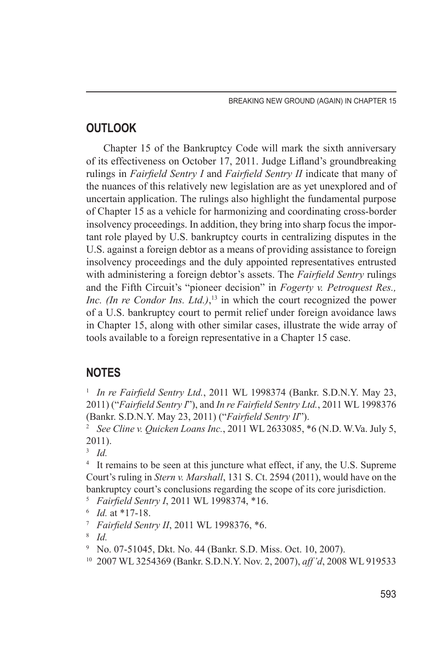### **OUTLOOK**

Chapter 15 of the Bankruptcy Code will mark the sixth anniversary of its effectiveness on October 17, 2011. Judge Lifland's groundbreaking rulings in *Fairfield Sentry I* and *Fairfield Sentry II* indicate that many of the nuances of this relatively new legislation are as yet unexplored and of uncertain application. The rulings also highlight the fundamental purpose of Chapter 15 as a vehicle for harmonizing and coordinating cross-border insolvency proceedings. In addition, they bring into sharp focus the important role played by U.S. bankruptcy courts in centralizing disputes in the U.S. against a foreign debtor as a means of providing assistance to foreign insolvency proceedings and the duly appointed representatives entrusted with administering a foreign debtor's assets. The *Fairfield Sentry* rulings and the Fifth Circuit's "pioneer decision" in *Fogerty v. Petroquest Res., Inc. (In re Condor Ins. Ltd.)*<sup>13</sup> in which the court recognized the power of a U.S. bankruptcy court to permit relief under foreign avoidance laws in Chapter 15, along with other similar cases, illustrate the wide array of tools available to a foreign representative in a Chapter 15 case.

# **NOTES**

<sup>1</sup> *In re Fairfield Sentry Ltd.*, 2011 WL 1998374 (Bankr. S.D.N.Y. May 23, 2011) ("*Fairfield Sentry I*"), and *In re Fairfield Sentry Ltd.*, 2011 WL 1998376 (Bankr. S.D.N.Y. May 23, 2011) ("*Fairfield Sentry II*").

<sup>2</sup> *See Cline v. Quicken Loans Inc.*, 2011 WL 2633085, \*6 (N.D. W.Va. July 5, 2011).

<sup>3</sup> *Id.*

<sup>4</sup> It remains to be seen at this juncture what effect, if any, the U.S. Supreme Court's ruling in *Stern v. Marshall*, 131 S. Ct. 2594 (2011), would have on the bankruptcy court's conclusions regarding the scope of its core jurisdiction.

- <sup>5</sup> *Fairfield Sentry I*, 2011 WL 1998374, \*16.
- 
- <sup>6</sup> *Id.* at \*17-18. 7 *Fairfield Sentry II*, 2011 WL 1998376, \*6.
- <sup>8</sup> *Id.*
- <sup>9</sup> No. 07-51045, Dkt. No. 44 (Bankr. S.D. Miss. Oct. 10, 2007).
- <sup>10</sup> 2007 WL 3254369 (Bankr. S.D.N.Y. Nov. 2, 2007), *aff'd*, 2008 WL 919533